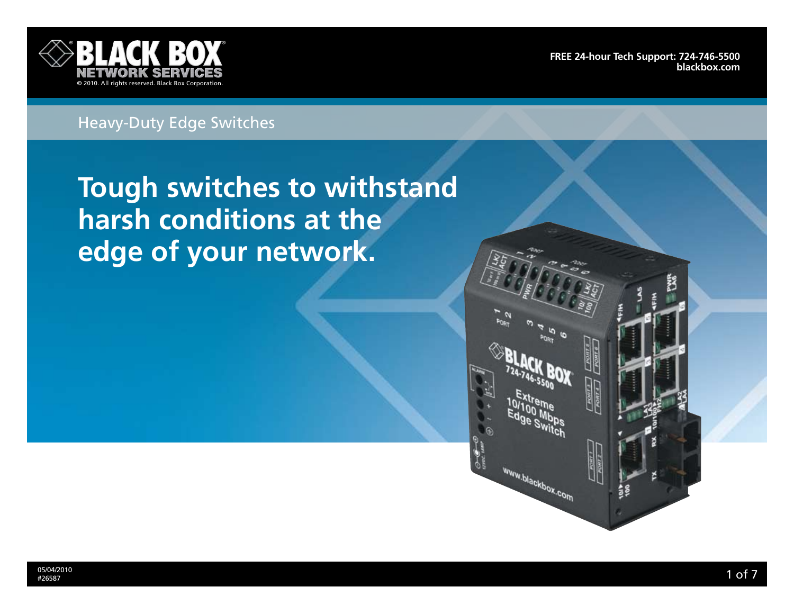

**[Free 24-hour Tech support: 724-746-5500](http://www.blackbox.com/Store/storefront.aspx) blackbox.com**

# Heavy-Duty Edge Switches

**Tough switches to withstand harsh conditions at the edge of your network.**

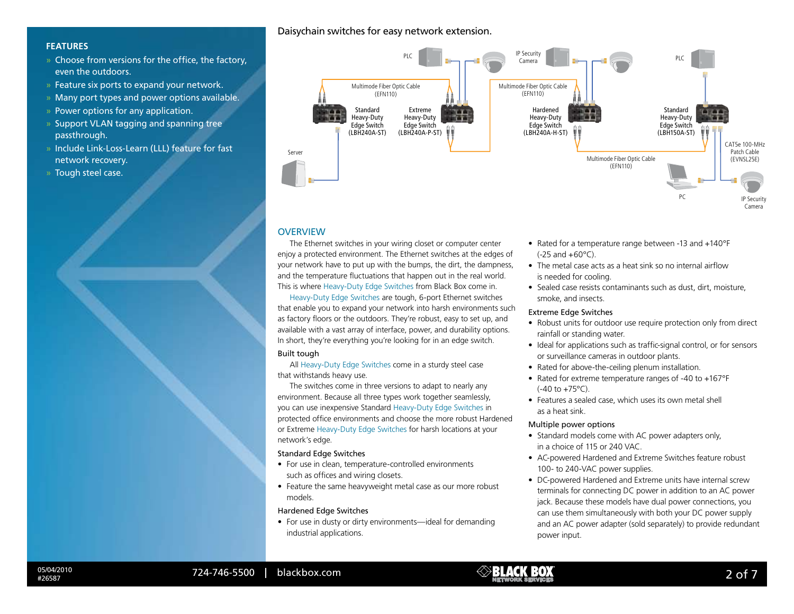# **Features**

- » Choose from versions for the office, the factory, even the outdoors.
- » Feature six ports to expand your network.
- » Many port types and power options available.
- » Power options for any application.
- » Support VLAN tagging and spanning tree passthrough.
- » Include Link-Loss-Learn (LLL) feature for fast network recovery.
- » Tough steel case.

# Daisychain switches for easy network extension.



# **OVERVIEW**

The Ethernet switches in your wiring closet or computer center enjoy a protected environment. The Ethernet switches at the edges of your network have to put up with the bumps, the dirt, the dampness, and the temperature fluctuations that happen out in the real world. This is where Heavy-Duty Edge Switches from Black Box come in.

Heavy-Duty Edge Switches are tough, 6-port Ethernet switches that enable you to expand your network into harsh environments such as factory floors or the outdoors. They're robust, easy to set up, and available with a vast array of interface, power, and durability options. In short, they're everything you're looking for in an edge switch.

# Built tough

All Heavy-Duty Edge Switches come in a sturdy steel case that withstands heavy use.

The switches come in three versions to adapt to nearly any environment. Because all three types work together seamlessly, you can use inexpensive Standard Heavy-Duty Edge Switches in protected office environments and choose the more robust Hardened or Extreme Heavy-Duty Edge Switches for harsh locations at your network's edge.

#### Standard Edge Switches

- For use in clean, temperature-controlled environments such as offices and wiring closets.
- Feature the same heavyweight metal case as our more robust models.

### Hardened Edge Switches

• For use in dusty or dirty environments—ideal for demanding industrial applications.

- Rated for a temperature range between -13 and +140°F  $(-25 \text{ and } +60^{\circ} \text{C})$ .
- The metal case acts as a heat sink so no internal airflow is needed for cooling.
- Sealed case resists contaminants such as dust, dirt, moisture, smoke, and insects.

## Extreme Edge Switches

- Robust units for outdoor use require protection only from direct rainfall or standing water.
- Ideal for applications such as traffic-signal control, or for sensors or surveillance cameras in outdoor plants.
- Rated for above-the-ceiling plenum installation.
- Rated for extreme temperature ranges of -40 to +167°F  $(-40 \text{ to } +75^{\circ}C)$ .
- Features a sealed case, which uses its own metal shell as a heat sink.

#### Multiple power options

- Standard models come with AC power adapters only, in a choice of 115 or 240 VAC.
- AC-powered Hardened and Extreme Switches feature robust 100- to 240-VAC power supplies.
- DC-powered Hardened and Extreme units have internal screw terminals for connecting DC power in addition to an AC power jack. Because these models have dual power connections, you can use them simultaneously with both your DC power supply and an AC power adapter (sold separately) to provide redundant power input.

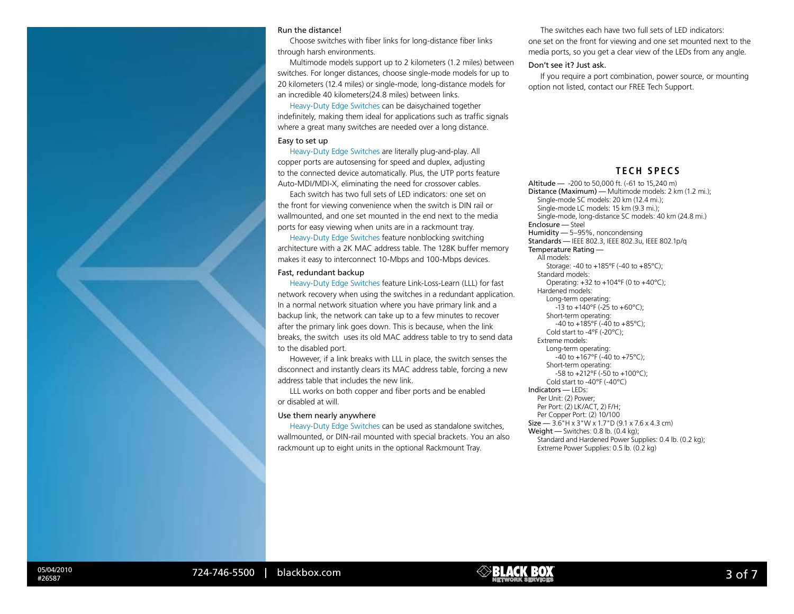#### Run the distance!

Choose switches with fiber links for long-distance fiber links through harsh environments.

Multimode models support up to 2 kilometers (1.2 miles) between switches. For longer distances, choose single-mode models for up to 20 kilometers (12.4 miles) or single-mode, long-distance models for an incredible 40 kilometers(24.8 miles) between links.

Heavy-Duty Edge Switches can be daisychained together indefinitely, making them ideal for applications such as traffic signals where a great many switches are needed over a long distance.

# Easy to set up

Heavy-Duty Edge Switches are literally plug-and-play. All copper ports are autosensing for speed and duplex, adjusting to the connected device automatically. Plus, the UTP ports feature Auto-MDI/MDI-X, eliminating the need for crossover cables.

Each switch has two full sets of LED indicators: one set on the front for viewing convenience when the switch is DIN rail or wallmounted, and one set mounted in the end next to the media ports for easy viewing when units are in a rackmount tray.

Heavy-Duty Edge Switches feature nonblocking switching architecture with a 2K MAC address table. The 128K buffer memory makes it easy to interconnect 10-Mbps and 100-Mbps devices.

### Fast, redundant backup

Heavy-Duty Edge Switches feature Link-Loss-Learn (LLL) for fast network recovery when using the switches in a redundant application. In a normal network situation where you have primary link and a backup link, the network can take up to a few minutes to recover after the primary link goes down. This is because, when the link breaks, the switch uses its old MAC address table to try to send data to the disabled port.

However, if a link breaks with LLL in place, the switch senses the disconnect and instantly clears its MAC address table, forcing a new address table that includes the new link.

LLL works on both copper and fiber ports and be enabled or disabled at will.

#### Use them nearly anywhere

Heavy-Duty Edge Switches can be used as standalone switches, wallmounted, or DIN-rail mounted with special brackets. You an also rackmount up to eight units in the optional Rackmount Tray.

The switches each have two full sets of LED indicators: one set on the front for viewing and one set mounted next to the media ports, so you get a clear view of the LEDs from any angle.

#### Don't see it? Just ask.

If you require a port combination, power source, or mounting option not listed, contact our FREE Tech Support.

# **Tech SPec s**

Altitude — -200 to 50,000 ft. (-61 to 15,240 m) Distance (Maximum) — Multimode models: 2 km (1.2 mi.); Single-mode SC models: 20 km (12.4 mi.); Single-mode LC models: 15 km (9.3 mi.); Single-mode, long-distance SC models: 40 km (24.8 mi.) Enclosure — Steel Humidity — 5–95%, noncondensing Standards — IEEE 802.3, IEEE 802.3u, IEEE 802.1p/q Temperature Rating — All models: Storage: -40 to +185°F (-40 to +85°C); Standard models: Operating: +32 to +104°F (0 to +40°C); Hardened models: Long-term operating:  $-13$  to  $+140^{\circ}$ F ( $-25$  to  $+60^{\circ}$ C); Short-term operating: -40 to +185°F (-40 to +85°C); Cold start to -4°F (-20°C); Extreme models: Long-term operating: -40 to +167°F (-40 to +75°C); Short-term operating: -58 to +212°F (-50 to +100°C); Cold start to -40°F (-40°C) Indicators — LEDs: Per Unit: (2) Power; Per Port: (2) LK/ACT, 2) F/H; Per Copper Port: (2) 10/100  $Size - 3.6" H \times 3" W \times 1.7" D (9.1 \times 7.6 \times 4.3 \text{ cm})$ Weight — Switches: 0.8 lb. (0.4 kg); Standard and Hardened Power Supplies: 0.4 lb. (0.2 kg); Extreme Power Supplies: 0.5 lb. (0.2 kg)

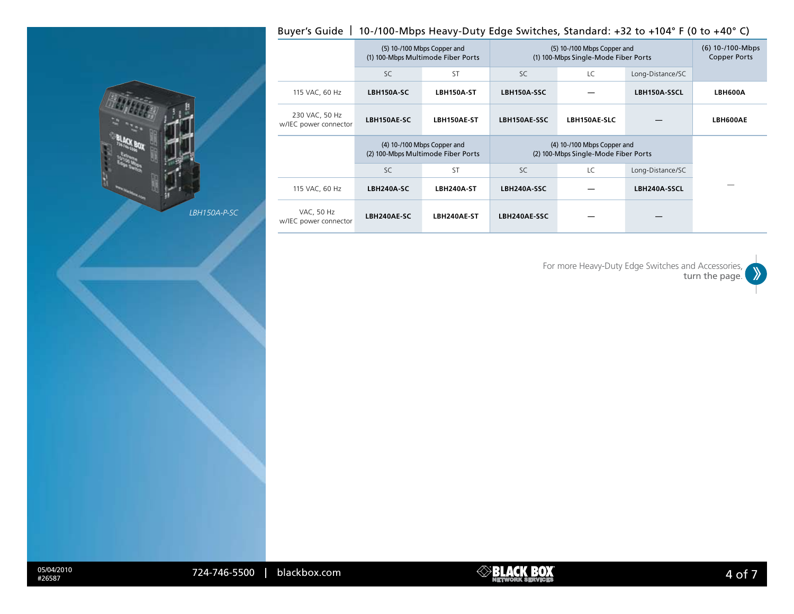# Buyer's Guide | 10-/100-Mbps Heavy-Duty Edge Switches, Standard: +32 to +104° F (0 to +40° C)

|                                            |                                                                   | (5) 10-/100 Mbps Copper and<br>(1) 100-Mbps Multimode Fiber Ports | (5) 10-/100 Mbps Copper and<br>(1) 100-Mbps Single-Mode Fiber Ports | $(6)$ 10-/100-Mbps<br><b>Copper Ports</b> |                  |          |
|--------------------------------------------|-------------------------------------------------------------------|-------------------------------------------------------------------|---------------------------------------------------------------------|-------------------------------------------|------------------|----------|
|                                            | SC.                                                               | <b>ST</b>                                                         | SC.                                                                 | LC                                        | Long-Distance/SC |          |
| 115 VAC, 60 Hz                             | LBH150A-SC                                                        | LBH150A-ST                                                        | LBH150A-SSC                                                         |                                           | LBH150A-SSCL     | LBH600A  |
| 230 VAC, 50 Hz<br>w/IEC power connector    | LBH150AE-SC                                                       | LBH150AE-ST                                                       | LBH150AE-SSC                                                        | LBH150AE-SLC                              |                  | LBH600AE |
|                                            | (4) 10-/100 Mbps Copper and<br>(2) 100-Mbps Multimode Fiber Ports |                                                                   | (4) 10-/100 Mbps Copper and<br>(2) 100-Mbps Single-Mode Fiber Ports |                                           |                  |          |
|                                            | SC.                                                               | <b>ST</b>                                                         | SC.                                                                 | LC                                        | Long-Distance/SC |          |
| 115 VAC, 60 Hz                             | LBH240A-SC                                                        | LBH240A-ST                                                        | LBH240A-SSC                                                         |                                           | LBH240A-SSCL     |          |
| <b>VAC, 50 Hz</b><br>w/IEC power connector | LBH240AE-SC                                                       | LBH240AE-ST                                                       | LBH240AE-SSC                                                        |                                           |                  |          |



*LBH150A-P-SC*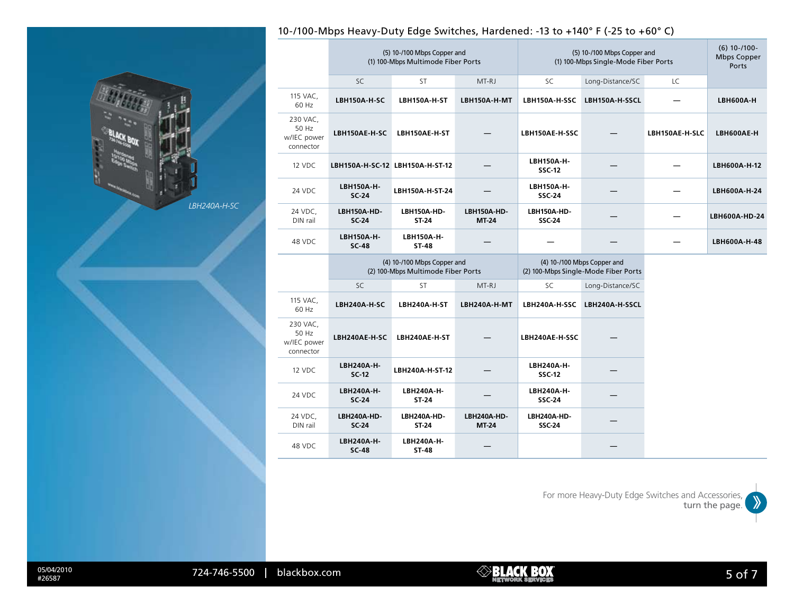

# 10-/100-Mbps Heavy-Duty Edge Switches, Hardened: -13 to +140° F (-25 to +60° C)

|                                               | (5) 10-/100 Mbps Copper and<br>(1) 100-Mbps Multimode Fiber Ports |                                 |                      | (5) 10-/100 Mbps Copper and<br>(1) 100-Mbps Single-Mode Fiber Ports |                                                                     |                | $(6)$ 10-/100-<br><b>Mbps Copper</b><br>Ports |
|-----------------------------------------------|-------------------------------------------------------------------|---------------------------------|----------------------|---------------------------------------------------------------------|---------------------------------------------------------------------|----------------|-----------------------------------------------|
|                                               | <b>SC</b>                                                         | <b>ST</b>                       | MT-RJ                | <b>SC</b>                                                           | Long-Distance/SC                                                    | LC             |                                               |
| 115 VAC,<br>60 Hz                             | LBH150A-H-SC                                                      | LBH150A-H-ST                    | LBH150A-H-MT         | LBH150A-H-SSC                                                       | LBH150A-H-SSCL                                                      |                | <b>LBH600A-H</b>                              |
| 230 VAC,<br>50 Hz<br>w/IEC power<br>connector | LBH150AE-H-SC                                                     | LBH150AE-H-ST                   |                      | LBH150AE-H-SSC                                                      |                                                                     | LBH150AE-H-SLC | LBH600AE-H                                    |
| 12 VDC                                        |                                                                   | LBH150A-H-SC-12 LBH150A-H-ST-12 |                      | LBH150A-H-<br><b>SSC-12</b>                                         |                                                                     |                | LBH600A-H-12                                  |
| 24 VDC                                        | <b>LBH150A-H-</b><br><b>SC-24</b>                                 | LBH150A-H-ST-24                 |                      | LBH150A-H-<br><b>SSC-24</b>                                         |                                                                     |                | LBH600A-H-24                                  |
| 24 VDC.<br>DIN rail                           | LBH150A-HD-<br><b>SC 24</b>                                       | LBH150A-HD-<br>ST-24            | LBH150A-HD-<br>MT-24 | LBH150A-HD-<br><b>SSC-24</b>                                        |                                                                     |                | LBH600A-HD-24                                 |
| 48 VDC                                        | LBH150A-H-<br>$SC-48$                                             | <b>LBH150A-H-</b><br>ST-48      |                      |                                                                     |                                                                     |                | LBH600A-H-48                                  |
|                                               | (4) 10-/100 Mbps Copper and<br>(2) 100-Mbps Multimode Fiber Ports |                                 |                      |                                                                     | (4) 10-/100 Mbps Copper and<br>(2) 100-Mbps Single-Mode Fiber Ports |                |                                               |
|                                               | SC                                                                | ST                              | MT-RJ                | SC                                                                  | Long-Distance/SC                                                    |                |                                               |
| 115 VAC,<br>60 Hz                             | LBH240A-H-SC                                                      | LBH240A-H-ST                    | LBH240A-H-MT         | LBH240A-H-SSC                                                       | LBH240A-H-SSCL                                                      |                |                                               |
| 230 VAC,<br>50 Hz<br>w/IEC power<br>connector | LBH240AE-H-SC                                                     | LBH240AE-H-ST                   |                      | LBH240AE-H-SSC                                                      |                                                                     |                |                                               |
| 12 VDC                                        | LBH240A-H-<br>$SC-12$                                             | LBH240A-H-ST-12                 |                      | LBH240A-H-<br><b>SSC-12</b>                                         |                                                                     |                |                                               |
| 24 VDC                                        | LBH240A-H-<br>SC-24                                               | LBH240A-H-<br>ST-24             |                      | LBH240A-H-<br><b>SSC-24</b>                                         |                                                                     |                |                                               |
| 24 VDC,<br>DIN rail                           | LBH240A-HD-<br><b>SC-24</b>                                       | LBH240A-HD-<br>ST-24            | LBH240A-HD-<br>MT-24 | LBH240A-HD-<br><b>SSC-24</b>                                        |                                                                     |                |                                               |
|                                               |                                                                   |                                 |                      |                                                                     |                                                                     |                |                                               |

For more Heavy-Duty Edge Switches and Accessories,  $\gg$ turn the page.

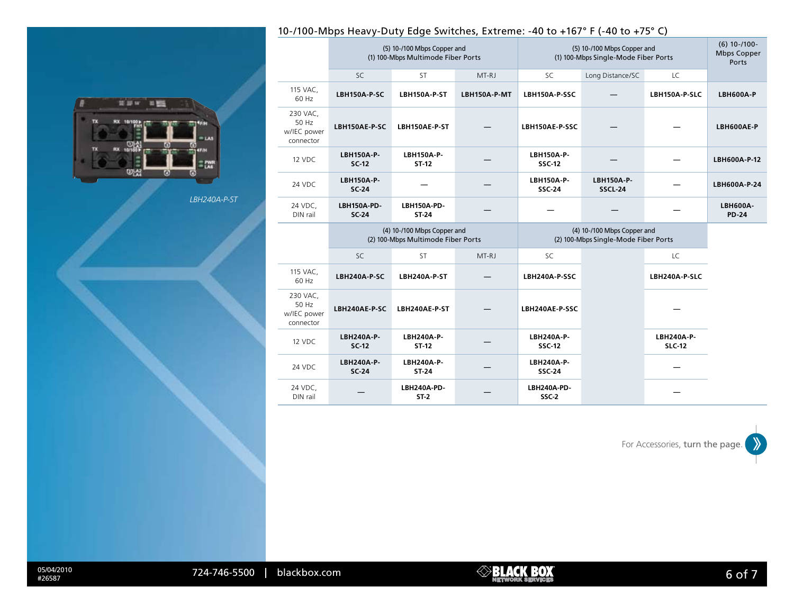# 10-/100-Mbps Heavy-Duty Edge Switches, Extreme: -40 to +167° F (-40 to +75° C)

| RX<br>10/100 | <b>TEST</b>        |
|--------------|--------------------|
| <b>RX</b>    | LAS<br><b>CFIN</b> |
|              |                    |

*LBH240A-P-ST*

|                                               | (5) 10-/100 Mbps Copper and<br>(1) 100-Mbps Multimode Fiber Ports |                       |              | (5) 10-/100 Mbps Copper and<br>(1) 100-Mbps Single-Mode Fiber Ports |                              |                             | $(6)$ 10-/100-<br><b>Mbps Copper</b><br>Ports |
|-----------------------------------------------|-------------------------------------------------------------------|-----------------------|--------------|---------------------------------------------------------------------|------------------------------|-----------------------------|-----------------------------------------------|
|                                               | SC                                                                | <b>ST</b>             | MT-RJ        | SC                                                                  | Long Distance/SC             | <b>LC</b>                   |                                               |
| 115 VAC,<br>60 Hz                             | LBH150A-P-SC                                                      | LBH150A-P-ST          | LBH150A-P-MT | LBH150A-P-SSC                                                       |                              | LBH150A-P-SLC               | <b>LBH600A-P</b>                              |
| 230 VAC,<br>50 Hz<br>w/IEC power<br>connector | LBH150AE-P-SC                                                     | LBH150AE-P-ST         |              | LBH150AE-P-SSC                                                      |                              |                             | LBH600AE-P                                    |
| 12 VDC                                        | LBH150A-P-<br>$SC-12$                                             | LBH150A-P-<br>ST-12   |              | LBH150A-P-<br><b>SSC-12</b>                                         |                              |                             | LBH600A-P-12                                  |
| 24 VDC                                        | <b>LBH150A-P-</b><br><b>SC-24</b>                                 |                       |              | LBH150A-P-<br><b>SSC 24</b>                                         | LBH150A-P-<br><b>SSCL-24</b> |                             | LBH600A-P-24                                  |
| 24 VDC,<br>DIN rail                           | LBH150A-PD-<br><b>SC 24</b>                                       | LBH150A-PD-<br>ST-24  |              |                                                                     |                              |                             | <b>LBH600A-</b><br><b>PD-24</b>               |
|                                               | (4) 10-/100 Mbps Copper and<br>(2) 100-Mbps Multimode Fiber Ports |                       |              | (4) 10-/100 Mbps Copper and<br>(2) 100-Mbps Single-Mode Fiber Ports |                              |                             |                                               |
|                                               | SC                                                                | <b>ST</b>             | MT-RJ        | SC                                                                  |                              | LC                          |                                               |
| 115 VAC,<br>60 Hz                             | LBH240A-P-SC                                                      | LBH240A-P-ST          |              | LBH240A-P-SSC                                                       |                              | LBH240A-P-SLC               |                                               |
| 230 VAC,<br>50 Hz<br>w/IEC power<br>connector | LBH240AE-P-SC                                                     | LBH240AE-P-ST         |              | LBH240AE-P-SSC                                                      |                              |                             |                                               |
| 12 VDC                                        | LBH240A-P-<br>$SC-12$                                             | LBH240A-P-<br>ST-12   |              | LBH240A-P-<br><b>SSC-12</b>                                         |                              | LBH240A-P-<br><b>SLC-12</b> |                                               |
| 24 VDC                                        | LBH240A-P-<br>SC-24                                               | LBH240A-P-<br>ST-24   |              | LBH240A-P-<br><b>SSC-24</b>                                         |                              |                             |                                               |
| 24 VDC,<br>DIN rail                           |                                                                   | LBH240A-PD-<br>$ST-2$ |              | LBH240A-PD-<br>SSC-2                                                |                              |                             |                                               |

For Accessories, turn the page.